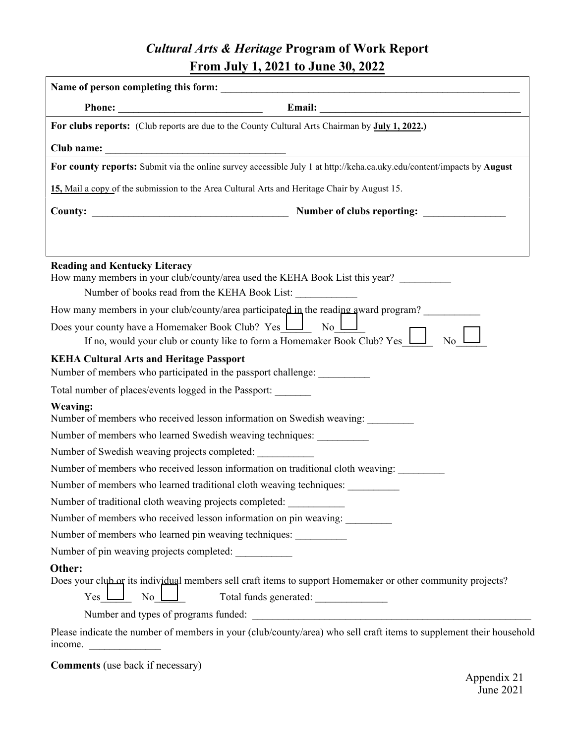## *Cultural Arts & Heritage* **Program of Work Report From July 1, 2021 to June 30, 2022**

| For clubs reports: (Club reports are due to the County Cultural Arts Chairman by July 1, 2022.)                                                                                                                                                                                                                                                                                                             |  |
|-------------------------------------------------------------------------------------------------------------------------------------------------------------------------------------------------------------------------------------------------------------------------------------------------------------------------------------------------------------------------------------------------------------|--|
| Club name: $\frac{1}{\sqrt{1-\frac{1}{2}}\sqrt{1-\frac{1}{2}}\sqrt{1-\frac{1}{2}}\sqrt{1-\frac{1}{2}}\sqrt{1-\frac{1}{2}}\sqrt{1-\frac{1}{2}}\sqrt{1-\frac{1}{2}}\sqrt{1-\frac{1}{2}}\sqrt{1-\frac{1}{2}}\sqrt{1-\frac{1}{2}}\sqrt{1-\frac{1}{2}}\sqrt{1-\frac{1}{2}}\sqrt{1-\frac{1}{2}}\sqrt{1-\frac{1}{2}}\sqrt{1-\frac{1}{2}}\sqrt{1-\frac{1}{2}}\sqrt{1-\frac{1}{2}}\sqrt{1-\frac{1}{2}}\sqrt{1-\frac$ |  |
| For county reports: Submit via the online survey accessible July 1 at http://keha.ca.uky.edu/content/impacts by August                                                                                                                                                                                                                                                                                      |  |
| 15 Mail a copy of the submission to the Area Cultural Arts and Heritage Chair by August 15.                                                                                                                                                                                                                                                                                                                 |  |
|                                                                                                                                                                                                                                                                                                                                                                                                             |  |
|                                                                                                                                                                                                                                                                                                                                                                                                             |  |
|                                                                                                                                                                                                                                                                                                                                                                                                             |  |
| <b>Reading and Kentucky Literacy</b><br>How many members in your club/county/area used the KEHA Book List this year?<br>Number of books read from the KEHA Book List:                                                                                                                                                                                                                                       |  |
| How many members in your club/county/area participated in the reading award program?                                                                                                                                                                                                                                                                                                                        |  |
| Does your county have a Homemaker Book Club? $Yes \perp \perp$ No $\perp$<br>If no, would your club or county like to form a Homemaker Book Club? $Yes \_\_\_\_\$<br>$\overline{N_0}$ $\Box$                                                                                                                                                                                                                |  |
| <b>KEHA Cultural Arts and Heritage Passport</b><br>Number of members who participated in the passport challenge: __________                                                                                                                                                                                                                                                                                 |  |
| Total number of places/events logged in the Passport:                                                                                                                                                                                                                                                                                                                                                       |  |
| <b>Weaving:</b><br>Number of members who received lesson information on Swedish weaving:                                                                                                                                                                                                                                                                                                                    |  |
| Number of members who learned Swedish weaving techniques:                                                                                                                                                                                                                                                                                                                                                   |  |
| Number of Swedish weaving projects completed:                                                                                                                                                                                                                                                                                                                                                               |  |
| Number of members who received lesson information on traditional cloth weaving:                                                                                                                                                                                                                                                                                                                             |  |
| Number of members who learned traditional cloth weaving techniques:                                                                                                                                                                                                                                                                                                                                         |  |
| Number of traditional cloth weaving projects completed:                                                                                                                                                                                                                                                                                                                                                     |  |
| Number of members who received lesson information on pin weaving:                                                                                                                                                                                                                                                                                                                                           |  |
| Number of members who learned pin weaving techniques: ___________                                                                                                                                                                                                                                                                                                                                           |  |
| Number of pin weaving projects completed:                                                                                                                                                                                                                                                                                                                                                                   |  |
| Other:<br>Does your club or its individual members sell craft items to support Homemaker or other community projects?<br>$\overline{N}$ o<br>Yes                                                                                                                                                                                                                                                            |  |
| Please indicate the number of members in your (club/county/area) who sell craft items to supplement their household                                                                                                                                                                                                                                                                                         |  |

**Comments** (use back if necessary)

income.